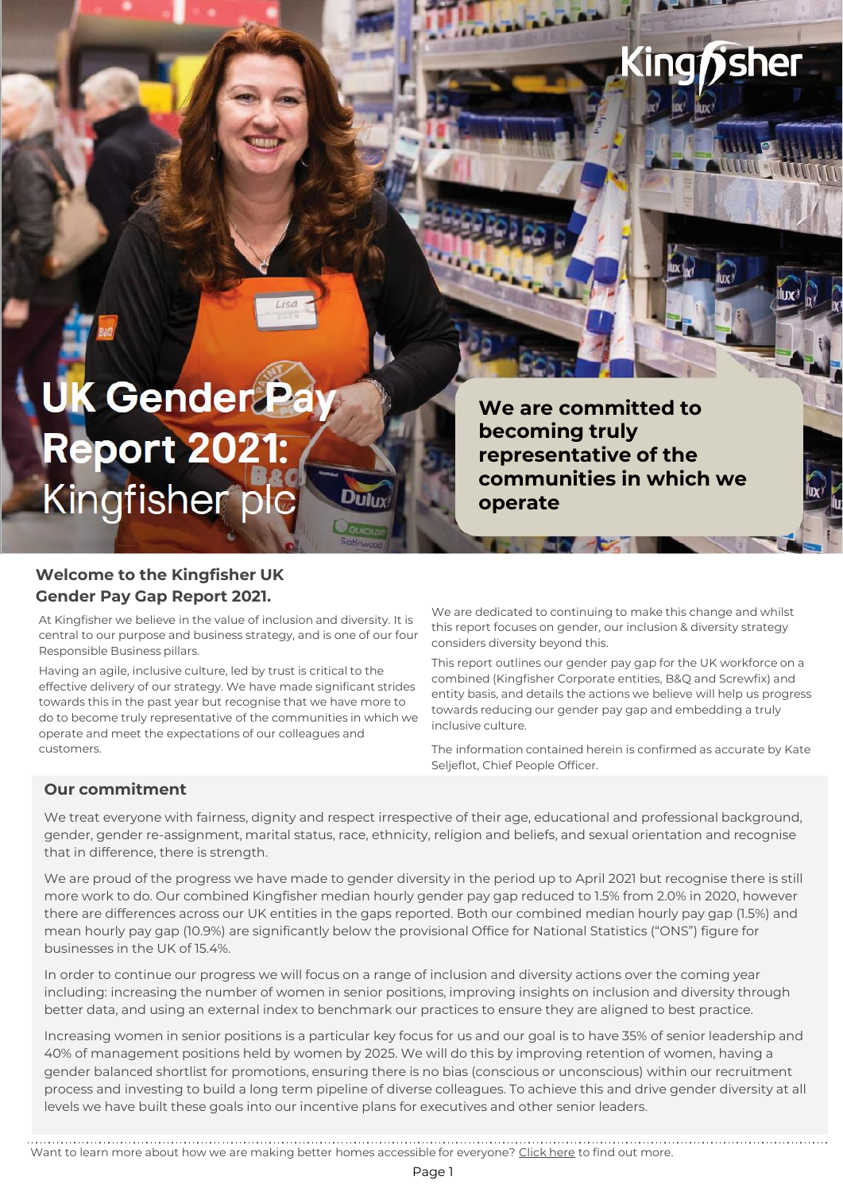# isher

# **UK Gender Pay Report 2021: Kingfisher plc**

**We are committed to becoming truly representative of the communities in which we operate**

# **Welcome to the Kingfisher UK Gender Pay Gap Report 2021.**

At Kingfisher we believe in the value of inclusion and diversity. It is central to our purpose and business strategy, and is one of our four Responsible Business pillars.

Having an agile, inclusive culture, led by trust is critical to the effective delivery of our strategy. We have made significant strides towards this in the past year but recognise that we have more to do to become truly representative of the communities in which we operate and meet the expectations of our colleagues and customers.

We are dedicated to continuing to make this change and whilst this report focuses on gender, our inclusion & diversity strategy considers diversity beyond this.

This report outlines our gender pay gap for the UK workforce on a combined (Kingfisher Corporate entities, B&Q and Screwfix) and entity basis, and details the actions we believe will help us progress towards reducing our gender pay gap and embedding a truly inclusive culture.

The information contained herein is confirmed as accurate by Kate Seljeflot, Chief People Officer.

#### **Our commitment**

We treat everyone with fairness, dignity and respect irrespective of their age, educational and professional background, gender, gender re-assignment, marital status, race, ethnicity, religion and beliefs, and sexual orientation and recognise that in difference, there is strength.

We are proud of the progress we have made to gender diversity in the period up to April 2021 but recognise there is still more work to do. Our combined Kingfisher median hourly gender pay gap reduced to 1.5% from 2.0% in 2020, however there are differences across our UK entities in the gaps reported. Both our combined median hourly pay gap (1.5%) and mean hourly pay gap (10.9%) are significantly below the provisional Office for National Statistics ("ONS") figure for businesses in the UK of 15.4%.

In order to continue our progress we will focus on a range of inclusion and diversity actions over the coming year including: increasing the number of women in senior positions, improving insights on inclusion and diversity through better data, and using an external index to benchmark our practices to ensure they are aligned to best practice.

Increasing women in senior positions is a particular key focus for us and our goal is to have 35% of senior leadership and 40% of management positions held by women by 2025. We will do this by improving retention of women, having a gender balanced shortlist for promotions, ensuring there is no bias (conscious or unconscious) within our recruitment process and investing to build a long term pipeline of diverse colleagues. To achieve this and drive gender diversity at all levels we have built these goals into our incentive plans for executives and other senior leaders.

Want to learn more about how we are making better homes accessible for everyone? [Click here](https://www.kingfisher.com/en/responsible-business.html) to find out more.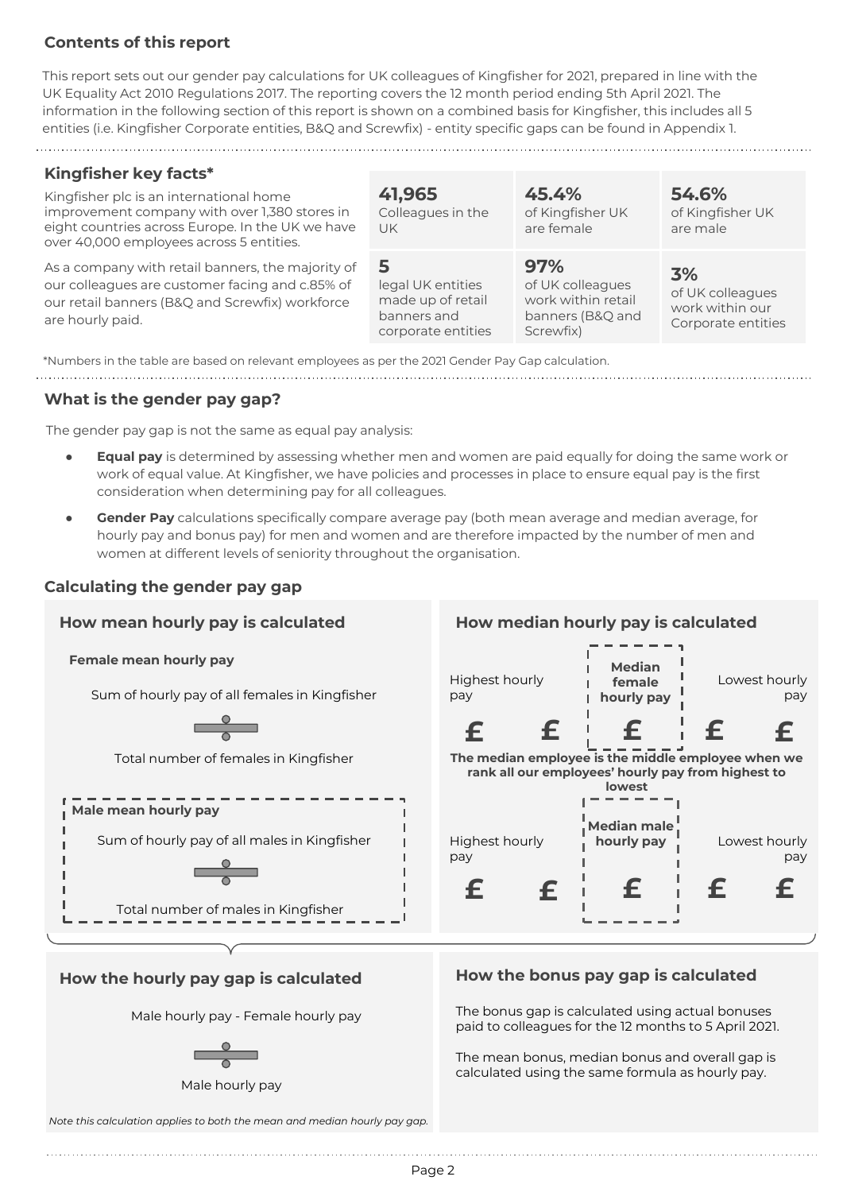# **Contents of this report**

This report sets out our gender pay calculations for UK colleagues of Kingfisher for 2021, prepared in line with the UK Equality Act 2010 Regulations 2017. The reporting covers the 12 month period ending 5th April 2021. The information in the following section of this report is shown on a combined basis for Kingfisher, this includes all 5 entities (i.e. Kingfisher Corporate entities, B&Q and Screwfix) - entity specific gaps can be found in Appendix 1.

| Kingfisher key facts*<br>Kingfisher plc is an international home<br>improvement company with over 1,380 stores in<br>eight countries across Europe. In the UK we have<br>over 40,000 employees across 5 entities.             | 41,965<br>Colleagues in the<br>UK                                                | 45.4%<br>of Kingfisher UK<br>are female                                        | 54.6%<br>of Kingfisher UK<br>are male                           |
|-------------------------------------------------------------------------------------------------------------------------------------------------------------------------------------------------------------------------------|----------------------------------------------------------------------------------|--------------------------------------------------------------------------------|-----------------------------------------------------------------|
| As a company with retail banners, the majority of<br>our colleagues are customer facing and c.85% of<br>our retail banners (B&Q and Screwfix) workforce<br>are hourly paid.                                                   | 5<br>legal UK entities<br>made up of retail<br>banners and<br>corporate entities | 97%<br>of UK colleagues<br>work within retail<br>banners (B&Q and<br>Screwfix) | 3%<br>of UK colleagues<br>work within our<br>Corporate entities |
| where the contract is the contract of the contract of the contract of the contract of the contract of the contract of the contract of the contract of the contract of the contract of the contract of the contract of the con |                                                                                  |                                                                                |                                                                 |

\*Numbers in the table are based on relevant employees as per the 2021 Gender Pay Gap calculation.

#### **What is the gender pay gap?**

The gender pay gap is not the same as equal pay analysis:

- **Equal pay** is determined by assessing whether men and women are paid equally for doing the same work or work of equal value. At Kingfisher, we have policies and processes in place to ensure equal pay is the first consideration when determining pay for all colleagues.
- **Gender Pay** calculations specifically compare average pay (both mean average and median average, for hourly pay and bonus pay) for men and women and are therefore impacted by the number of men and women at different levels of seniority throughout the organisation.

#### **Calculating the gender pay gap**



#### **How the hourly pay gap is calculated**

Male hourly pay - Female hourly pay



Male hourly pay

**How the bonus pay gap is calculated**

The bonus gap is calculated using actual bonuses paid to colleagues for the 12 months to 5 April 2021.

The mean bonus, median bonus and overall gap is calculated using the same formula as hourly pay.

*Note this calculation applies to both the mean and median hourly pay gap.*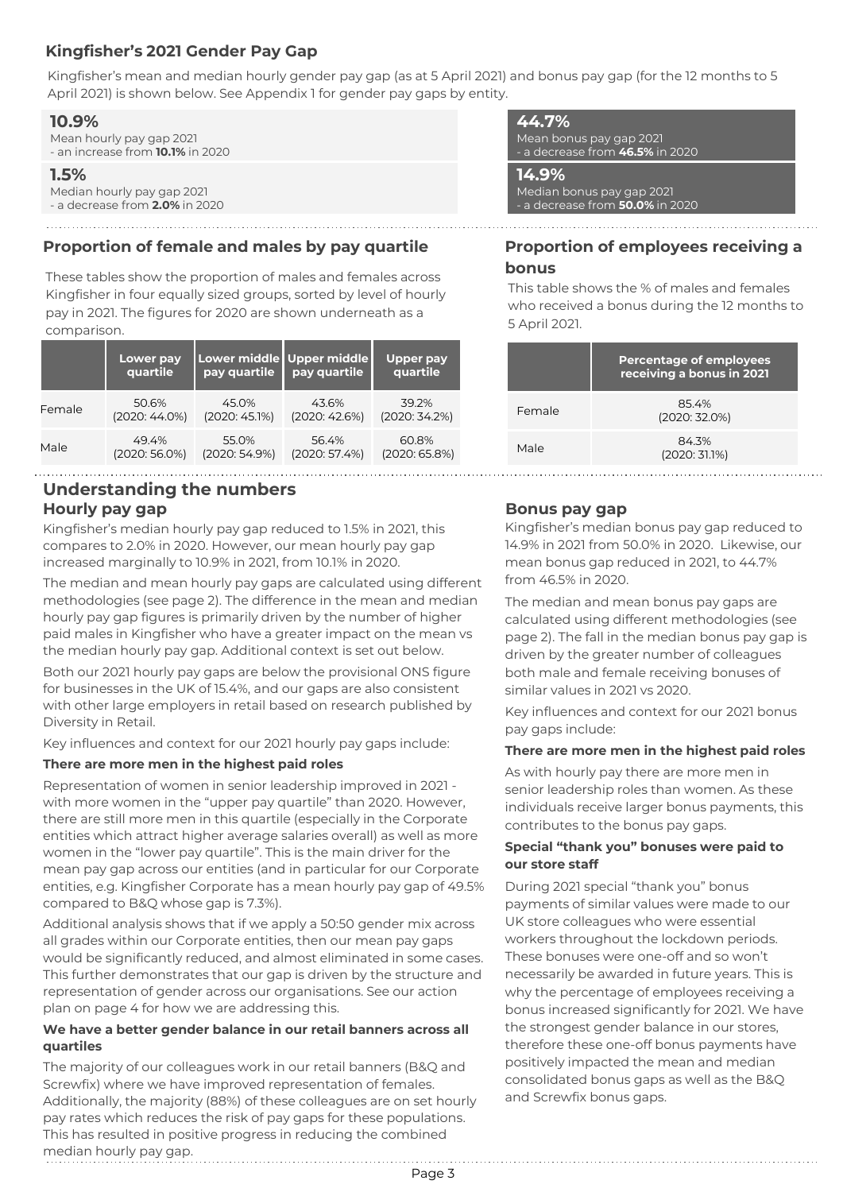# **Kingfisher's 2021 Gender Pay Gap**

Kingfisher's mean and median hourly gender pay gap (as at 5 April 2021) and bonus pay gap (for the 12 months to 5 April 2021) is shown below. See Appendix 1 for gender pay gaps by entity.

#### **10.9%**

Mean hourly pay gap 2021 - an increase from **10.1%** in 2020

#### **1.5%**

Median hourly pay gap 2021 - a decrease from **2.0%** in 2020

#### **Proportion of female and males by pay quartile**

These tables show the proportion of males and females across Kingfisher in four equally sized groups, sorted by level of hourly pay in 2021. The figures for 2020 are shown underneath as a comparison.

|        | Lower pay<br>quartile | pay quartile    | Lower middle Upper middle<br>pay quartile | <b>Upper pay</b><br>quartile |
|--------|-----------------------|-----------------|-------------------------------------------|------------------------------|
| Female | 50.6%                 | 45.0%           | 43.6%                                     | 39.2%                        |
|        | $(2020:44.0\%)$       | (2020: 45.1%)   | (2020:42.6%)                              | $(2020:34.2\%)$              |
| Male   | 49.4%                 | 55.0%           | 56.4%                                     | 60.8%                        |
|        | (2020: 56.0%)         | $(2020:54.9\%)$ | (2020:57.4%)                              | $(2020:65.8\%)$              |

# **Understanding the numbers Hourly pay gap**

Kingfisher's median hourly pay gap reduced to 1.5% in 2021, this compares to 2.0% in 2020. However, our mean hourly pay gap increased marginally to 10.9% in 2021, from 10.1% in 2020.

The median and mean hourly pay gaps are calculated using different methodologies (see page 2). The difference in the mean and median hourly pay gap figures is primarily driven by the number of higher paid males in Kingfisher who have a greater impact on the mean vs the median hourly pay gap. Additional context is set out below.

Both our 2021 hourly pay gaps are below the provisional ONS figure for businesses in the UK of 15.4%, and our gaps are also consistent with other large employers in retail based on research published by Diversity in Retail.

Key influences and context for our 2021 hourly pay gaps include:

#### **There are more men in the highest paid roles**

Representation of women in senior leadership improved in 2021 with more women in the "upper pay quartile" than 2020. However, there are still more men in this quartile (especially in the Corporate entities which attract higher average salaries overall) as well as more women in the "lower pay quartile". This is the main driver for the mean pay gap across our entities (and in particular for our Corporate entities, e.g. Kingfisher Corporate has a mean hourly pay gap of 49.5% compared to B&Q whose gap is 7.3%).

Additional analysis shows that if we apply a 50:50 gender mix across all grades within our Corporate entities, then our mean pay gaps would be significantly reduced, and almost eliminated in some cases. This further demonstrates that our gap is driven by the structure and representation of gender across our organisations. See our action plan on page 4 for how we are addressing this.

#### **We have a better gender balance in our retail banners across all quartiles**

The majority of our colleagues work in our retail banners (B&Q and Screwfix) where we have improved representation of females. Additionally, the majority (88%) of these colleagues are on set hourly pay rates which reduces the risk of pay gaps for these populations. This has resulted in positive progress in reducing the combined median hourly pay gap.

**44.7%** 

Mean bonus pay gap 2021 - a decrease from **46.5%** in 2020

**14.9%**

Median bonus pay gap 2021 - a decrease from **50.0%** in 2020

#### **Proportion of employees receiving a bonus**

This table shows the % of males and females who received a bonus during the 12 months to 5 April 2021.

|        | <b>Percentage of employees</b><br>receiving a bonus in 2021 |
|--------|-------------------------------------------------------------|
| Female | 85.4%<br>$(2020:32.0\%)$                                    |
| Male   | 84.3%<br>$(2020:31.1\%)$                                    |

#### **Bonus pay gap**

Kingfisher's median bonus pay gap reduced to 14.9% in 2021 from 50.0% in 2020. Likewise, our mean bonus gap reduced in 2021, to 44.7% from 46.5% in 2020.

The median and mean bonus pay gaps are calculated using different methodologies (see page 2). The fall in the median bonus pay gap is driven by the greater number of colleagues both male and female receiving bonuses of similar values in 2021 vs 2020.

Key influences and context for our 2021 bonus pay gaps include:

#### **There are more men in the highest paid roles**

As with hourly pay there are more men in senior leadership roles than women. As these individuals receive larger bonus payments, this contributes to the bonus pay gaps.

#### **Special "thank you" bonuses were paid to our store staff**

During 2021 special "thank you" bonus payments of similar values were made to our UK store colleagues who were essential workers throughout the lockdown periods. These bonuses were one-off and so won't necessarily be awarded in future years. This is why the percentage of employees receiving a bonus increased significantly for 2021. We have the strongest gender balance in our stores, therefore these one-off bonus payments have positively impacted the mean and median consolidated bonus gaps as well as the B&Q and Screwfix bonus gaps.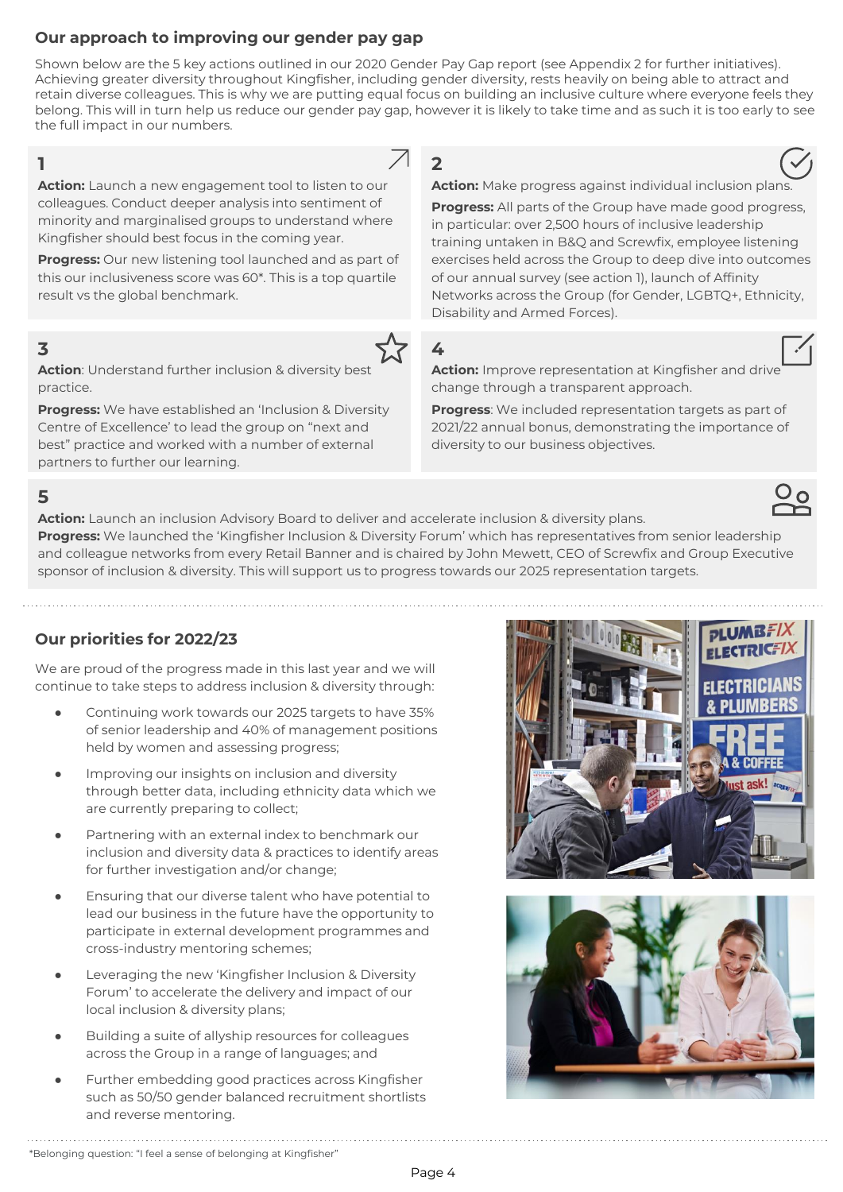## **Our approach to improving our gender pay gap**

Shown below are the 5 key actions outlined in our 2020 Gender Pay Gap report (see Appendix 2 for further initiatives). Achieving greater diversity throughout Kingfisher, including gender diversity, rests heavily on being able to attract and retain diverse colleagues. This is why we are putting equal focus on building an inclusive culture where everyone feels they belong. This will in turn help us reduce our gender pay gap, however it is likely to take time and as such it is too early to see the full impact in our numbers.

**2**

# **1**

**Action:** Launch a new engagement tool to listen to our colleagues. Conduct deeper analysis into sentiment of minority and marginalised groups to understand where Kingfisher should best focus in the coming year.

**Progress:** Our new listening tool launched and as part of this our inclusiveness score was 60\*. This is a top quartile result vs the global benchmark.

# **3**



**Action**: Understand further inclusion & diversity best practice.

**Progress:** We have established an 'Inclusion & Diversity Centre of Excellence' to lead the group on "next and best" practice and worked with a number of external partners to further our learning.

**Action:** Make progress against individual inclusion plans.

**Progress:** All parts of the Group have made good progress, in particular: over 2,500 hours of inclusive leadership training untaken in B&Q and Screwfix, employee listening exercises held across the Group to deep dive into outcomes of our annual survey (see action 1), launch of Affinity Networks across the Group (for Gender, LGBTQ+, Ethnicity, Disability and Armed Forces).

**4**

**Action:** Improve representation at Kingfisher and drive change through a transparent approach.

**Progress**: We included representation targets as part of 2021/22 annual bonus, demonstrating the importance of diversity to our business objectives.

# **5**

**Action:** Launch an inclusion Advisory Board to deliver and accelerate inclusion & diversity plans.

**Progress:** We launched the 'Kingfisher Inclusion & Diversity Forum' which has representatives from senior leadership and colleague networks from every Retail Banner and is chaired by John Mewett, CEO of Screwfix and Group Executive sponsor of inclusion & diversity. This will support us to progress towards our 2025 representation targets.

# **Our priorities for 2022/23**

We are proud of the progress made in this last year and we will continue to take steps to address inclusion & diversity through:

- Continuing work towards our 2025 targets to have 35% of senior leadership and 40% of management positions held by women and assessing progress;
- Improving our insights on inclusion and diversity through better data, including ethnicity data which we are currently preparing to collect;
- Partnering with an external index to benchmark our inclusion and diversity data & practices to identify areas for further investigation and/or change;
- Ensuring that our diverse talent who have potential to lead our business in the future have the opportunity to participate in external development programmes and cross-industry mentoring schemes;
- Leveraging the new 'Kingfisher Inclusion & Diversity Forum' to accelerate the delivery and impact of our local inclusion & diversity plans;
- Building a suite of allyship resources for colleagues across the Group in a range of languages; and
- Further embedding good practices across Kingfisher such as 50/50 gender balanced recruitment shortlists and reverse mentoring.





<sup>\*</sup>Belonging question: "I feel a sense of belonging at Kingfisher"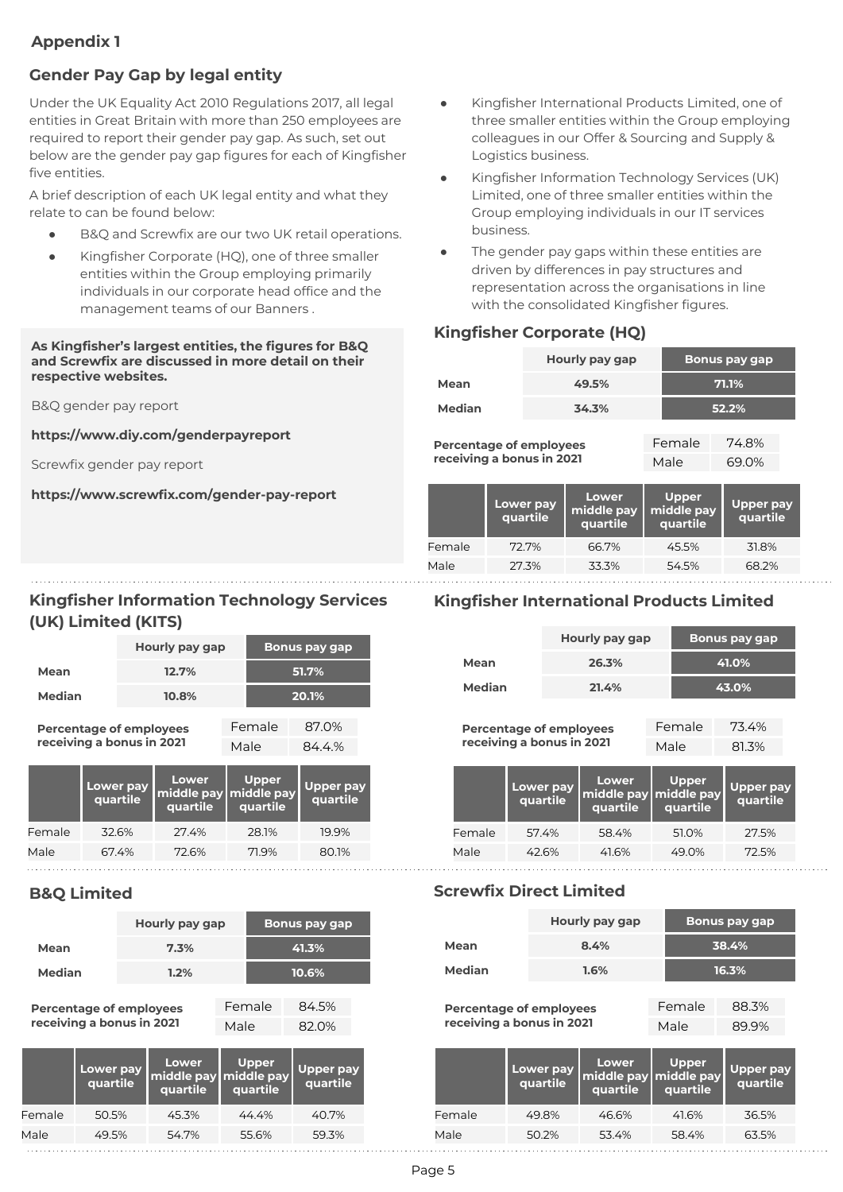# **Appendix 1**

# **Gender Pay Gap by legal entity**

Under the UK Equality Act 2010 Regulations 2017, all legal entities in Great Britain with more than 250 employees are required to report their gender pay gap. As such, set out below are the gender pay gap figures for each of Kingfisher five entities.

A brief description of each UK legal entity and what they relate to can be found below:

- B&Q and Screwfix are our two UK retail operations.
- Kingfisher Corporate (HQ), one of three smaller entities within the Group employing primarily individuals in our corporate head office and the management teams of our Banners .

#### **As Kingfisher's largest entities, the figures for B&Q and Screwfix are discussed in more detail on their respective websites.**

B&Q gender pay report

**https://www.diy.com/genderpayreport**

Screwfix gender pay report

**https://www.screwfix.com/gender-pay-report**

# **Kingfisher Information Technology Services (UK) Limited (KITS)**

|        | Hourly pay gap                                              |  | <b>Bonus pay gap</b> |               |  |
|--------|-------------------------------------------------------------|--|----------------------|---------------|--|
| Mean   | 12.7%                                                       |  |                      | 51.7%         |  |
| Median | 10.8%                                                       |  | 20.1%                |               |  |
|        | <b>Percentage of employees</b><br>receiving a bonus in 2021 |  | Female<br>Male       | 87.0%<br>844% |  |

|        | Lower pay<br>quartile | Lower<br>middle pay middle pay<br>quartile | Upper<br>quartile | Upper pay<br>quartile |
|--------|-----------------------|--------------------------------------------|-------------------|-----------------------|
| Female | 32.6%                 | 27.4%                                      | 28.1%             | 19.9%                 |
| Male   | 67.4%                 | 72.6%                                      | 71.9%             | 80.1%                 |

# **B&Q Limited**

|                                                             | Hourly pay gap |  | <b>Bonus pay gap</b> |                |  |
|-------------------------------------------------------------|----------------|--|----------------------|----------------|--|
| Mean                                                        | 7.3%           |  |                      | 41.3%          |  |
| Median                                                      | 1.2%           |  | 10.6%                |                |  |
| <b>Percentage of employees</b><br>receiving a bonus in 2021 | Male           |  | Female               | 84.5%<br>82.0% |  |
|                                                             | A111A          |  |                      |                |  |

|        | Lower pay<br>quartile | Lower<br>middle pay middle pay<br>quartile | <b>Upper</b><br>quartile | Upper pay<br>quartile |
|--------|-----------------------|--------------------------------------------|--------------------------|-----------------------|
| Female | 50.5%                 | 45.3%                                      | 44.4%                    | 40.7%                 |
| Male   | 49.5%                 | 54.7%                                      | 55.6%                    | 59.3%                 |

- Kingfisher International Products Limited, one of three smaller entities within the Group employing colleagues in our Offer & Sourcing and Supply & Logistics business.
- Kingfisher Information Technology Services (UK) Limited, one of three smaller entities within the Group employing individuals in our IT services business.
- The gender pay gaps within these entities are driven by differences in pay structures and representation across the organisations in line with the consolidated Kingfisher figures.

# **Kingfisher Corporate (HQ)**

|                                                             | Hourly pay gap | <b>Bonus pay gap</b> |                |
|-------------------------------------------------------------|----------------|----------------------|----------------|
| Mean                                                        | 49.5%          |                      | 71.1%          |
| Median                                                      | 34.3%          |                      | 52.2%          |
| <b>Percentage of employees</b><br>receiving a bonus in 2021 |                | Female<br>Male       | 74.8%<br>69.0% |
|                                                             | ower           | Upper                |                |

|        | Lower pay<br>quartile | Lower<br>middle pay<br>quartile | <b>Upper</b><br>middle pay<br>quartile | Upper pay<br>quartile |
|--------|-----------------------|---------------------------------|----------------------------------------|-----------------------|
| Female | 72.7%                 | 66.7%                           | 45.5%                                  | 31.8%                 |
| Male   | 27.3%                 | 33.3%                           | 54.5%                                  | 68.2%                 |

# **Kingfisher International Products Limited**

|        | Hourly pay gap | <b>Bonus pay gap</b> |
|--------|----------------|----------------------|
| Mean   | 26.3%          | 41.0%                |
| Median | 21.4%          | 43.0%                |

| <b>Percentage of employees</b><br>receiving a bonus in 2021 |                       | Female                          | 73.4%                                  |                              |
|-------------------------------------------------------------|-----------------------|---------------------------------|----------------------------------------|------------------------------|
|                                                             |                       | Male                            | 81.3%                                  |                              |
|                                                             | Lower pay<br>quartile | Lower<br>middle pay<br>quartile | <b>Upper</b><br>middle pay<br>quartile | <b>Upper pay</b><br>quartile |
| Female                                                      | 57.4%                 | 58.4%                           | 51.0%                                  | 27.5%                        |
| Male                                                        | 42.6%                 | 41.6%                           | 49.0%                                  | 72.5%                        |

# **Screwfix Direct Limited**

|               | Hourly pay gap | <b>Bonus pay gap</b> |
|---------------|----------------|----------------------|
| Mean          | 8.4%           | 38.4%                |
| <b>Median</b> | 1.6%           | 16.3%                |

| <b>Percentage of employees</b> |                   | Female                                            | 88.3% |
|--------------------------------|-------------------|---------------------------------------------------|-------|
| receiving a bonus in 2021      |                   | Male                                              | 89.9% |
| Lower pay<br>quartile          | Lower<br>quartile | <b>Upper</b><br>middle pay middle pay<br>quartile |       |

Female 49.8% 46.6% 41.6% 36.5% Male 50.2% 53.4% 58.4% 63.5%